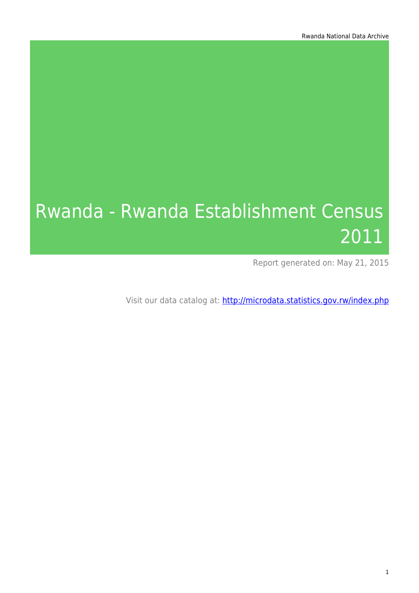# Rwanda - Rwanda Establishment Census 2011

Report generated on: May 21, 2015

Visit our data catalog at: http://microdata.statistics.gov.rw/index.php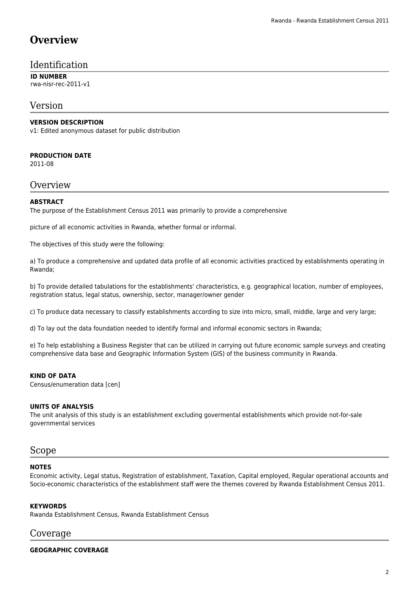# **Overview**

### Identification

**ID NUMBER** rwa-nisr-rec-2011-v1

### Version

#### **VERSION DESCRIPTION**

v1: Edited anonymous dataset for public distribution

#### **PRODUCTION DATE**

2011-08

#### **Overview**

#### **ABSTRACT**

The purpose of the Establishment Census 2011 was primarily to provide a comprehensive

picture of all economic activities in Rwanda, whether formal or informal.

The objectives of this study were the following:

a) To produce a comprehensive and updated data profile of all economic activities practiced by establishments operating in Rwanda;

b) To provide detailed tabulations for the establishments' characteristics, e.g. geographical location, number of employees, registration status, legal status, ownership, sector, manager/owner gender

c) To produce data necessary to classify establishments according to size into micro, small, middle, large and very large;

d) To lay out the data foundation needed to identify formal and informal economic sectors in Rwanda;

e) To help establishing a Business Register that can be utilized in carrying out future economic sample surveys and creating comprehensive data base and Geographic Information System (GIS) of the business community in Rwanda.

#### **KIND OF DATA**

Census/enumeration data [cen]

#### **UNITS OF ANALYSIS**

The unit analysis of this study is an establishment excluding govermental establishments which provide not-for-sale governmental services

#### Scope

#### **NOTES**

Economic activity, Legal status, Registration of establishment, Taxation, Capital employed, Regular operational accounts and Socio-economic characteristics of the establishment staff were the themes covered by Rwanda Establishment Census 2011.

#### **KEYWORDS**

Rwanda Establishment Census, Rwanda Establishment Census

### Coverage

#### **GEOGRAPHIC COVERAGE**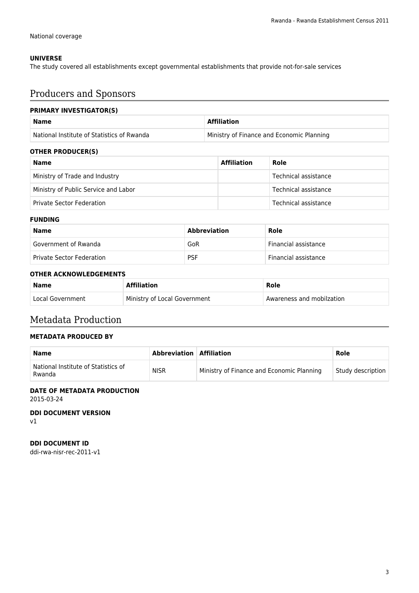#### **UNIVERSE**

The study covered all establishments except governmental establishments that provide not-for-sale services

# Producers and Sponsors

#### **PRIMARY INVESTIGATOR(S)**

| <b>Name</b>                                | <b>Affiliation</b>                        |
|--------------------------------------------|-------------------------------------------|
| National Institute of Statistics of Rwanda | Ministry of Finance and Economic Planning |

#### **OTHER PRODUCER(S)**

| <b>Name</b>                          | <b>Affiliation</b> | Role                 |
|--------------------------------------|--------------------|----------------------|
| Ministry of Trade and Industry       |                    | Technical assistance |
| Ministry of Public Service and Labor |                    | Technical assistance |
| <b>Private Sector Federation</b>     |                    | Technical assistance |

#### **FUNDING**

| Name                             | <b>Abbreviation</b> | Role                 |
|----------------------------------|---------------------|----------------------|
| Government of Rwanda             | GoR                 | Financial assistance |
| <b>Private Sector Federation</b> | <b>PSF</b>          | Financial assistance |

#### **OTHER ACKNOWLEDGEMENTS**

| <b>Name</b>      | <b>Affiliation</b>           | Role                      |
|------------------|------------------------------|---------------------------|
| Local Government | Ministry of Local Government | Awareness and mobilzation |

### Metadata Production

#### **METADATA PRODUCED BY**

| <b>Name</b>                                   | <b>Abbreviation   Affiliation</b> |                                           | Role              |
|-----------------------------------------------|-----------------------------------|-------------------------------------------|-------------------|
| National Institute of Statistics of<br>Rwanda | <b>NISR</b>                       | Ministry of Finance and Economic Planning | Study description |

#### **DATE OF METADATA PRODUCTION**

2015-03-24

**DDI DOCUMENT VERSION** v1

**DDI DOCUMENT ID**

ddi-rwa-nisr-rec-2011-v1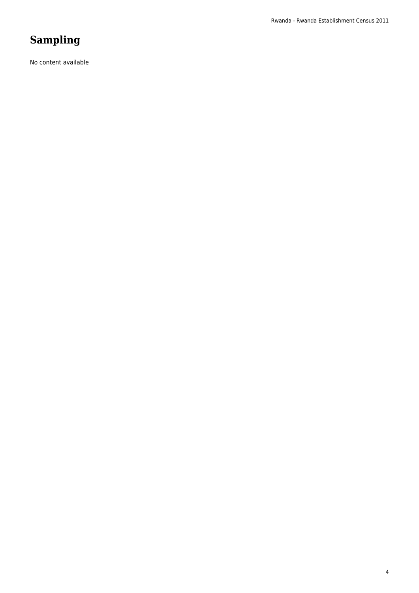# **Sampling**

No content available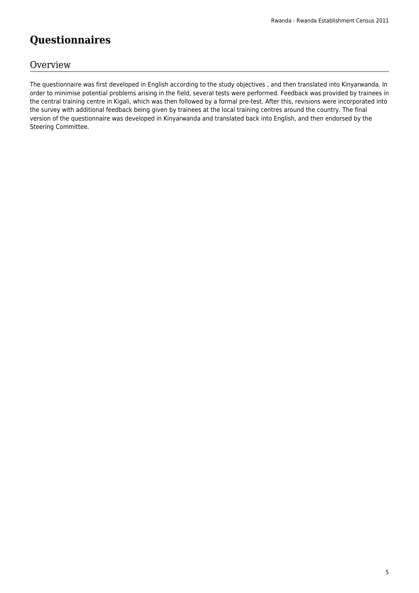# **Questionnaires**

### **Overview**

The questionnaire was first developed in English according to the study objectives , and then translated into Kinyarwanda. In order to minimise potential problems arising in the field, several tests were performed. Feedback was provided by trainees in the central training centre in Kigali, which was then followed by a formal pre-test. After this, revisions were incorporated into the survey with additional feedback being given by trainees at the local training centres around the country. The final version of the questionnaire was developed in Kinyarwanda and translated back into English, and then endorsed by the Steering Committee.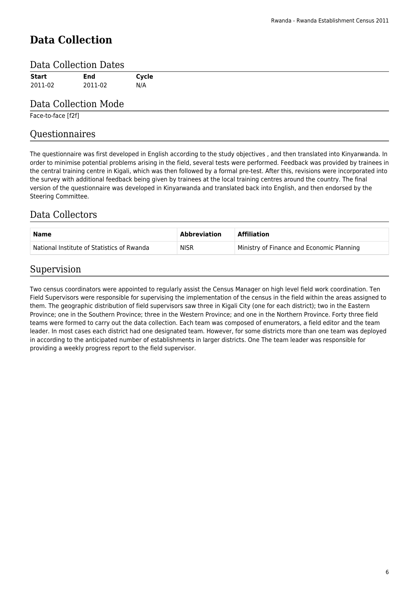# **Data Collection**

### Data Collection Dates

| <b>Start</b> | <b>End</b> | Cycle |
|--------------|------------|-------|
| 2011-02      | 2011-02    | N/A   |
|              |            |       |

### Data Collection Mode

Face-to-face [f2f]

### Questionnaires

The questionnaire was first developed in English according to the study objectives , and then translated into Kinyarwanda. In order to minimise potential problems arising in the field, several tests were performed. Feedback was provided by trainees in the central training centre in Kigali, which was then followed by a formal pre-test. After this, revisions were incorporated into the survey with additional feedback being given by trainees at the local training centres around the country. The final version of the questionnaire was developed in Kinyarwanda and translated back into English, and then endorsed by the Steering Committee.

### Data Collectors

| Name                                       | Abbreviation | <b>Affiliation</b>                        |
|--------------------------------------------|--------------|-------------------------------------------|
| National Institute of Statistics of Rwanda | <b>NISR</b>  | Ministry of Finance and Economic Planning |

### Supervision

Two census coordinators were appointed to regularly assist the Census Manager on high level field work coordination. Ten Field Supervisors were responsible for supervising the implementation of the census in the field within the areas assigned to them. The geographic distribution of field supervisors saw three in Kigali City (one for each district); two in the Eastern Province; one in the Southern Province; three in the Western Province; and one in the Northern Province. Forty three field teams were formed to carry out the data collection. Each team was composed of enumerators, a field editor and the team leader. In most cases each district had one designated team. However, for some districts more than one team was deployed in according to the anticipated number of establishments in larger districts. One The team leader was responsible for providing a weekly progress report to the field supervisor.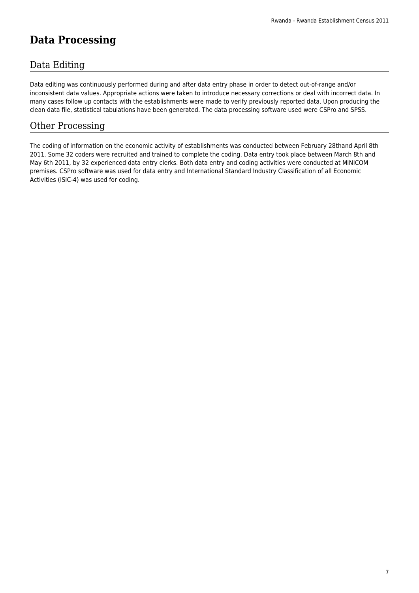# **Data Processing**

### Data Editing

Data editing was continuously performed during and after data entry phase in order to detect out-of-range and/or inconsistent data values. Appropriate actions were taken to introduce necessary corrections or deal with incorrect data. In many cases follow up contacts with the establishments were made to verify previously reported data. Upon producing the clean data file, statistical tabulations have been generated. The data processing software used were CSPro and SPSS.

### Other Processing

The coding of information on the economic activity of establishments was conducted between February 28thand April 8th 2011. Some 32 coders were recruited and trained to complete the coding. Data entry took place between March 8th and May 6th 2011, by 32 experienced data entry clerks. Both data entry and coding activities were conducted at MINICOM premises. CSPro software was used for data entry and International Standard Industry Classification of all Economic Activities (ISIC-4) was used for coding.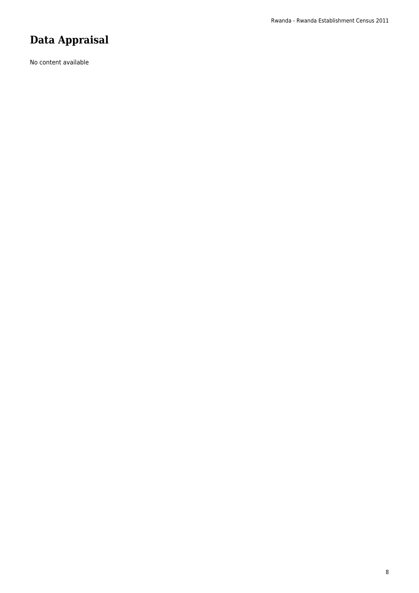# **Data Appraisal**

No content available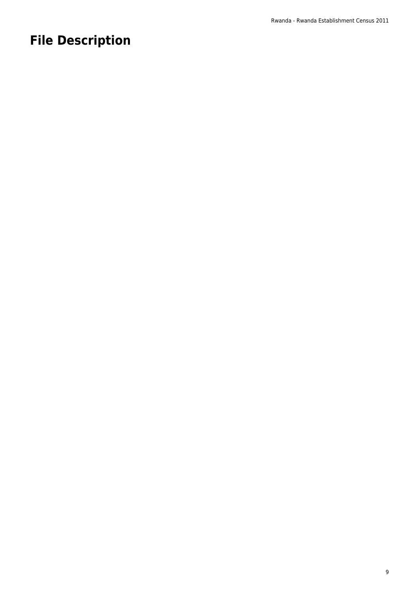# **File Description**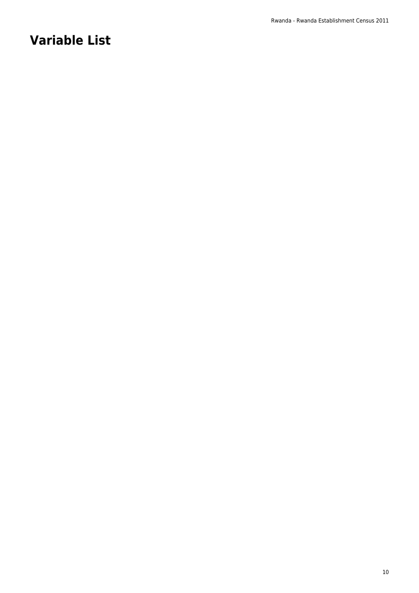# **Variable List**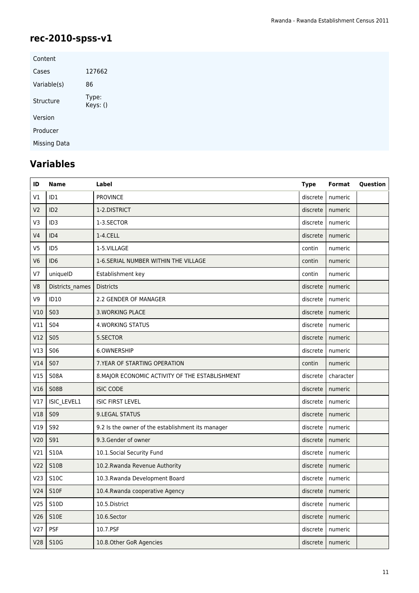# **rec-2010-spss-v1**

| Content             |                   |
|---------------------|-------------------|
| Cases               | 127662            |
| Variable(s)         | 86                |
| Structure           | Type:<br>Keys: () |
| Version             |                   |
| Producer            |                   |
| <b>Missing Data</b> |                   |

# **Variables**

| ID              | <b>Name</b>     | Label                                             | <b>Type</b> | Format             | Question |
|-----------------|-----------------|---------------------------------------------------|-------------|--------------------|----------|
| V1              | ID <sub>1</sub> | <b>PROVINCE</b>                                   | discrete    | numeric            |          |
| V <sub>2</sub>  | ID <sub>2</sub> | 1-2.DISTRICT                                      | discrete    | numeric            |          |
| V3              | ID <sub>3</sub> | 1-3.SECTOR                                        | discrete    | numeric            |          |
| V <sub>4</sub>  | ID4             | 1-4.CELL                                          | discrete    | numeric            |          |
| V <sub>5</sub>  | ID <sub>5</sub> | 1-5.VILLAGE                                       | contin      | numeric            |          |
| V <sub>6</sub>  | ID <sub>6</sub> | 1-6. SERIAL NUMBER WITHIN THE VILLAGE             | contin      | numeric            |          |
| V <sub>7</sub>  | uniqueID        | Establishment key                                 | contin      | numeric            |          |
| V <sub>8</sub>  | Districts_names | <b>Districts</b>                                  | discrete    | numeric            |          |
| V9              | <b>ID10</b>     | 2.2 GENDER OF MANAGER                             | discrete    | numeric            |          |
| V10             | <b>S03</b>      | <b>3. WORKING PLACE</b>                           | discrete    | numeric            |          |
| V11             | <b>S04</b>      | <b>4. WORKING STATUS</b>                          | discrete    | numeric            |          |
| V12             | <b>S05</b>      | 5.SECTOR                                          | discrete    | numeric            |          |
| V13             | S06             | 6.OWNERSHIP                                       | discrete    | numeric            |          |
| V14             | <b>S07</b>      | 7. YEAR OF STARTING OPERATION                     | contin      | numeric            |          |
| V15             | <b>S08A</b>     | 8. MAJOR ECONOMIC ACTIVITY OF THE ESTABLISHMENT   | discrete    | character          |          |
| V16             | <b>S08B</b>     | <b>ISIC CODE</b>                                  | discrete    | numeric            |          |
| V17             | ISIC_LEVEL1     | <b>ISIC FIRST LEVEL</b>                           | discrete    | numeric            |          |
| V18             | <b>S09</b>      | 9.LEGAL STATUS                                    | discrete    | numeric            |          |
| V19             | S92             | 9.2 Is the owner of the establishment its manager | discrete    | numeric            |          |
| V20             | <b>S91</b>      | 9.3. Gender of owner                              | discrete    | numeric            |          |
| V21             | <b>S10A</b>     | 10.1.Social Security Fund                         | discrete    | numeric            |          |
| V <sub>22</sub> | <b>S10B</b>     | 10.2. Rwanda Revenue Authority                    | discrete    | numeric            |          |
| V <sub>23</sub> | <b>S10C</b>     | 10.3. Rwanda Development Board                    | discrete    | numeric            |          |
| V24             | <b>S10F</b>     | 10.4. Rwanda cooperative Agency                   |             | discrete   numeric |          |
| V <sub>25</sub> | S10D            | 10.5. District                                    | discrete    | numeric            |          |
| V26             | <b>S10E</b>     | 10.6.Sector                                       | discrete    | numeric            |          |
| V <sub>27</sub> | <b>PSF</b>      | 10.7.PSF                                          | discrete    | numeric            |          |
| V28             | S10G            | 10.8. Other GoR Agencies                          | discrete    | numeric            |          |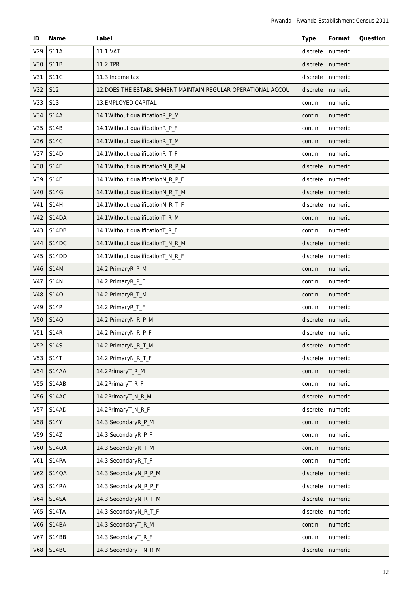| ID              | <b>Name</b>  | Label                                                         | <b>Type</b> | Format             | Question |
|-----------------|--------------|---------------------------------------------------------------|-------------|--------------------|----------|
| V29             | <b>S11A</b>  | 11.1.VAT                                                      | discrete    | numeric            |          |
| V30             | <b>S11B</b>  | 11.2.TPR                                                      | discrete    | numeric            |          |
| V31             | <b>S11C</b>  | 11.3. Income tax                                              | discrete    | numeric            |          |
| V32             | <b>S12</b>   | 12. DOES THE ESTABLISHMENT MAINTAIN REGULAR OPERATIONAL ACCOU | discrete    | numeric            |          |
| V33             | <b>S13</b>   | 13.EMPLOYED CAPITAL                                           | contin      | numeric            |          |
| V34             | <b>S14A</b>  | 14.1Without qualificationR_P_M                                | contin      | numeric            |          |
| V35             | S14B         | 14.1Without qualificationR_P_F                                | contin      | numeric            |          |
| V36             | <b>S14C</b>  | 14.1Without qualificationR_T_M                                | contin      | numeric            |          |
| V37             | S14D         | 14.1Without qualificationR_T_F                                | contin      | numeric            |          |
| V38             | <b>S14E</b>  | 14.1Without qualificationN_R_P_M                              | discrete    | numeric            |          |
| V39             | S14F         | 14.1Without qualificationN_R_P_F                              | discrete    | numeric            |          |
| V40             | S14G         | 14.1Without qualificationN R T M                              | discrete    | numeric            |          |
| V41             | <b>S14H</b>  | 14.1Without qualificationN_R_T_F                              | discrete    | numeric            |          |
| V42             | S14DA        | 14.1Without qualificationT R M                                | contin      | numeric            |          |
| V43             | S14DB        | 14.1Without qualificationT_R_F                                | contin      | numeric            |          |
| V44             | S14DC        | 14.1Without qualificationT_N_R_M                              | discrete    | numeric            |          |
| V45             | <b>S14DD</b> | 14.1Without qualificationT_N_R_F                              | discrete    | numeric            |          |
| V46             | <b>S14M</b>  | 14.2.PrimaryR_P_M                                             | contin      | numeric            |          |
| V47             | <b>S14N</b>  | 14.2.PrimaryR_P_F                                             | contin      | numeric            |          |
| <b>V48</b>      | <b>S140</b>  | 14.2. Primary R_T_M                                           | contin      | numeric            |          |
| V49             | S14P         | 14.2.PrimaryR_T_F                                             | contin      | numeric            |          |
| V50             | <b>S14Q</b>  | 14.2.PrimaryN_R_P_M                                           | discrete    | numeric            |          |
| V51             | <b>S14R</b>  | 14.2.PrimaryN_R_P_F                                           | discrete    | numeric            |          |
| V <sub>52</sub> | <b>S14S</b>  | 14.2.PrimaryN_R_T_M                                           |             | discrete   numeric |          |
| V <sub>53</sub> | S14T         | 14.2.PrimaryN_R_T_F                                           | discrete    | numeric            |          |
| V54             | S14AA        | 14.2PrimaryT_R_M                                              | contin      | numeric            |          |
| V <sub>55</sub> | S14AB        | 14.2PrimaryT_R_F                                              | contin      | numeric            |          |
| V56             | S14AC        | 14.2PrimaryT_N_R_M                                            | discrete    | numeric            |          |
| V57             | S14AD        | 14.2PrimaryT_N_R_F                                            | discrete    | numeric            |          |
| V58             | <b>S14Y</b>  | 14.3.SecondaryR_P_M                                           | contin      | numeric            |          |
| V59             | S14Z         | 14.3.SecondaryR_P_F                                           | contin      | numeric            |          |
| V60             | <b>S140A</b> | 14.3.SecondaryR_T_M                                           | contin      | numeric            |          |
| V61             | S14PA        | 14.3.SecondaryR_T_F                                           | contin      | numeric            |          |
| V62             | <b>S14QA</b> | 14.3.SecondaryN_R_P_M                                         | discrete    | numeric            |          |
| V63             | <b>S14RA</b> | 14.3.SecondaryN_R_P_F                                         | discrete    | numeric            |          |
| V64             | <b>S14SA</b> | 14.3.SecondaryN_R_T_M                                         | discrete    | numeric            |          |
| V65             | S14TA        | 14.3.SecondaryN_R_T_F                                         | discrete    | numeric            |          |
| V66             | S14BA        | 14.3.SecondaryT R M                                           | contin      | numeric            |          |
| V67             | S14BB        | 14.3.SecondaryT_R_F                                           | contin      | numeric            |          |
| <b>V68</b>      | S14BC        | 14.3.SecondaryT_N_R_M                                         | discrete    | numeric            |          |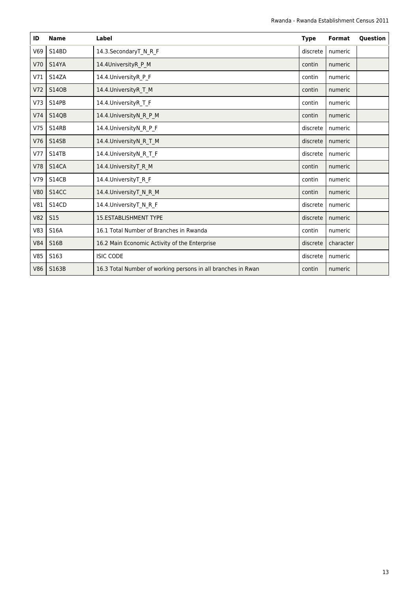| ID         | <b>Name</b>     | Label                                                        | <b>Type</b> | <b>Format</b> | Question |
|------------|-----------------|--------------------------------------------------------------|-------------|---------------|----------|
| V69        | S14BD           | 14.3.SecondaryT_N_R_F                                        | discrete    | numeric       |          |
| V70        | <b>S14YA</b>    | 14.4UniversityR P M                                          | contin      | numeric       |          |
| V71        | S14ZA           | 14.4. University R P F                                       | contin      | numeric       |          |
| V72        | <b>S140B</b>    | 14.4. University R T M                                       | contin      | numeric       |          |
| V73        | S14PB           | 14.4. University R T F                                       | contin      | numeric       |          |
| V74        | <b>S14QB</b>    | 14.4. University NR PM                                       | contin      | numeric       |          |
| V75        | S14RB           | 14.4. University N R P F                                     | discrete    | numeric       |          |
| V76        | S14SB           | 14.4. University NR TM                                       | discrete    | numeric       |          |
| V77        | <b>S14TB</b>    | 14.4. University N R T F                                     | discrete    | numeric       |          |
| V78        | S14CA           | 14.4. University T R M                                       | contin      | numeric       |          |
| V79        | S14CB           | 14.4. University T R F                                       | contin      | numeric       |          |
| <b>V80</b> | <b>S14CC</b>    | 14.4. University T_N_R_M                                     | contin      | numeric       |          |
| V81        | <b>S14CD</b>    | 14.4. University T N R F                                     | discrete    | numeric       |          |
| <b>V82</b> | S <sub>15</sub> | <b>15.ESTABLISHMENT TYPE</b>                                 | discrete    | numeric       |          |
| V83        | <b>S16A</b>     | 16.1 Total Number of Branches in Rwanda                      | contin      | numeric       |          |
| <b>V84</b> | <b>S16B</b>     | 16.2 Main Economic Activity of the Enterprise                | discrete    | character     |          |
| V85        | S163            | <b>ISIC CODE</b>                                             | discrete    | numeric       |          |
| <b>V86</b> | S163B           | 16.3 Total Number of working persons in all branches in Rwan | contin      | numeric       |          |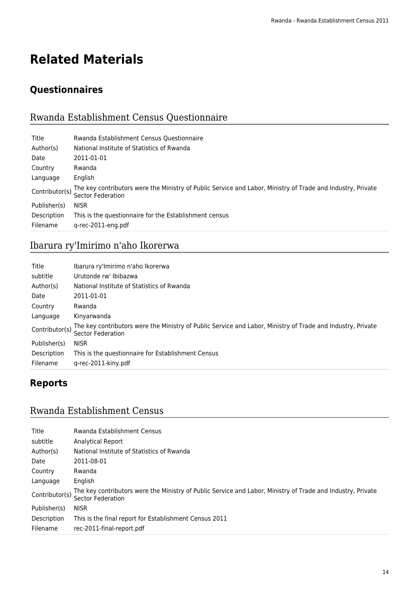# **Related Materials**

# **Questionnaires**

# Rwanda Establishment Census Questionnaire

| Title          | Rwanda Establishment Census Questionnaire                                                                                        |
|----------------|----------------------------------------------------------------------------------------------------------------------------------|
| Author(s)      | National Institute of Statistics of Rwanda                                                                                       |
| Date           | 2011-01-01                                                                                                                       |
| Country        | Rwanda                                                                                                                           |
| Language       | English                                                                                                                          |
| Contributor(s) | The key contributors were the Ministry of Public Service and Labor, Ministry of Trade and Industry, Private<br>Sector Federation |
| Publisher(s)   | <b>NISR</b>                                                                                                                      |
| Description    | This is the questionnaire for the Establishment census                                                                           |
| Filename       | g-rec-2011-eng.pdf                                                                                                               |

# Ibarura ry'Imirimo n'aho Ikorerwa

| Title          | Ibarura ry'Imirimo n'aho Ikorerwa                                                                                                |
|----------------|----------------------------------------------------------------------------------------------------------------------------------|
| subtitle       | Urutonde rw' Ibibazwa                                                                                                            |
| Author(s)      | National Institute of Statistics of Rwanda                                                                                       |
| Date           | 2011-01-01                                                                                                                       |
| Country        | Rwanda                                                                                                                           |
| Language       | Kinyarwanda                                                                                                                      |
| Contributor(s) | The key contributors were the Ministry of Public Service and Labor, Ministry of Trade and Industry, Private<br>Sector Federation |
| Publisher(s)   | <b>NISR</b>                                                                                                                      |
| Description    | This is the questionnaire for Establishment Census                                                                               |
| Filename       | g-rec-2011-kiny.pdf                                                                                                              |

### **Reports**

### Rwanda Establishment Census

| Title          | Rwanda Establishment Census                                                                                                      |
|----------------|----------------------------------------------------------------------------------------------------------------------------------|
| subtitle       | Analytical Report                                                                                                                |
| Author(s)      | National Institute of Statistics of Rwanda                                                                                       |
| Date           | 2011-08-01                                                                                                                       |
| Country        | Rwanda                                                                                                                           |
| Language       | English                                                                                                                          |
| Contributor(s) | The key contributors were the Ministry of Public Service and Labor, Ministry of Trade and Industry, Private<br>Sector Federation |
| Publisher(s)   | <b>NISR</b>                                                                                                                      |
| Description    | This is the final report for Establishment Census 2011                                                                           |
| Filename       | rec-2011-final-report.pdf                                                                                                        |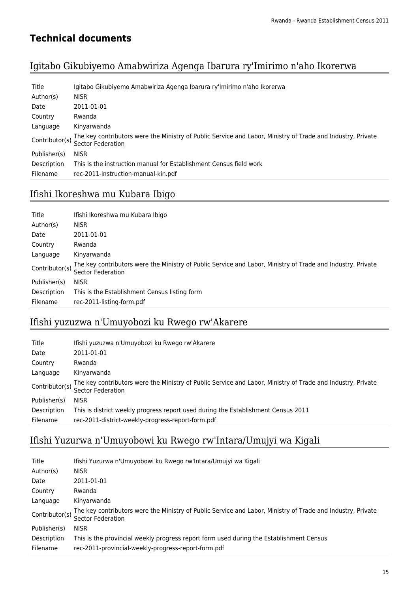### **Technical documents**

### Igitabo Gikubiyemo Amabwiriza Agenga Ibarura ry'Imirimo n'aho Ikorerwa

| Title          | Igitabo Gikubiyemo Amabwiriza Agenga Ibarura ry'Imirimo n'aho Ikorerwa                                                                  |
|----------------|-----------------------------------------------------------------------------------------------------------------------------------------|
| Author(s)      | <b>NISR</b>                                                                                                                             |
| Date           | 2011-01-01                                                                                                                              |
| Country        | Rwanda                                                                                                                                  |
| Language       | Kinyarwanda                                                                                                                             |
| Contributor(s) | The key contributors were the Ministry of Public Service and Labor, Ministry of Trade and Industry, Private<br><b>Sector Federation</b> |
| Publisher(s)   | <b>NISR</b>                                                                                                                             |
| Description    | This is the instruction manual for Establishment Census field work                                                                      |
| Filename       | rec-2011-instruction-manual-kin.pdf                                                                                                     |

# Ifishi Ikoreshwa mu Kubara Ibigo

| Title          | Ifishi Ikoreshwa mu Kubara Ibigo                                                                                                 |
|----------------|----------------------------------------------------------------------------------------------------------------------------------|
| Author(s)      | <b>NISR</b>                                                                                                                      |
| Date           | 2011-01-01                                                                                                                       |
| Country        | Rwanda                                                                                                                           |
| Language       | Kinyarwanda                                                                                                                      |
| Contributor(s) | The key contributors were the Ministry of Public Service and Labor, Ministry of Trade and Industry, Private<br>Sector Federation |
| Publisher(s)   | <b>NISR</b>                                                                                                                      |
| Description    | This is the Establishment Census listing form                                                                                    |
| Filename       | rec-2011-listing-form.pdf                                                                                                        |

# Ifishi yuzuzwa n'Umuyobozi ku Rwego rw'Akarere

| Title          | Ifishi yuzuzwa n'Umuyobozi ku Rwego rw'Akarere                                                                                   |
|----------------|----------------------------------------------------------------------------------------------------------------------------------|
| Date           | 2011-01-01                                                                                                                       |
| Country        | Rwanda                                                                                                                           |
| Language       | Kinyarwanda                                                                                                                      |
| Contributor(s) | The key contributors were the Ministry of Public Service and Labor, Ministry of Trade and Industry, Private<br>Sector Federation |
| Publisher(s)   | <b>NISR</b>                                                                                                                      |
| Description    | This is district weekly progress report used during the Establishment Census 2011                                                |
| Filename       | rec-2011-district-weekly-progress-report-form.pdf                                                                                |

# Ifishi Yuzurwa n'Umuyobowi ku Rwego rw'Intara/Umujyi wa Kigali

| Title          | Ifishi Yuzurwa n'Umuyobowi ku Rwego rw'Intara/Umujyi wa Kigali                                                                   |
|----------------|----------------------------------------------------------------------------------------------------------------------------------|
| Author(s)      | <b>NISR</b>                                                                                                                      |
| Date           | 2011-01-01                                                                                                                       |
| Country        | Rwanda                                                                                                                           |
| Language       | Kinyarwanda                                                                                                                      |
| Contributor(s) | The key contributors were the Ministry of Public Service and Labor, Ministry of Trade and Industry, Private<br>Sector Federation |
| Publisher(s)   | <b>NISR</b>                                                                                                                      |
| Description    | This is the provincial weekly progress report form used during the Establishment Census                                          |
| Filename       | rec-2011-provincial-weekly-progress-report-form.pdf                                                                              |